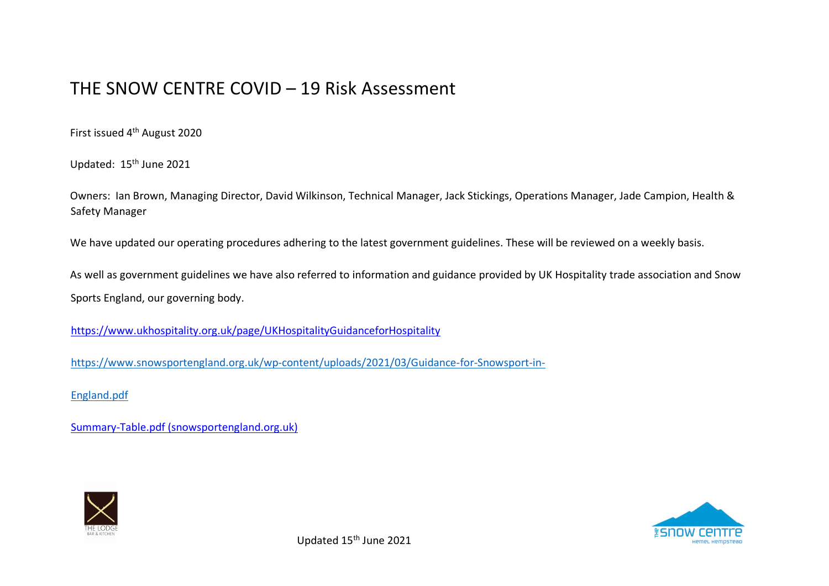## THE SNOW CENTRE COVID – 19 Risk Assessment

First issued 4th August 2020

Updated: 15<sup>th</sup> June 2021

Owners: Ian Brown, Managing Director, David Wilkinson, Technical Manager, Jack Stickings, Operations Manager, Jade Campion, Health & Safety Manager

We have updated our operating procedures adhering to the latest government guidelines. These will be reviewed on a weekly basis.

As well as government guidelines we have also referred to information and guidance provided by UK Hospitality trade association and Snow Sports England, our governing body.

<https://www.ukhospitality.org.uk/page/UKHospitalityGuidanceforHospitality>

[https://www.snowsportengland.org.uk/wp-content/uploads/2021/03/Guidance-for-Snowsport-in-](https://www.snowsportengland.org.uk/wp-content/uploads/2021/03/Guidance-for-Snowsport-in-England.pdf)

[England.pdf](https://www.snowsportengland.org.uk/wp-content/uploads/2021/03/Guidance-for-Snowsport-in-England.pdf)

[Summary-Table.pdf \(snowsportengland.org.uk\)](https://www.snowsportengland.org.uk/wp-content/uploads/2021/03/Summary-Table.pdf)



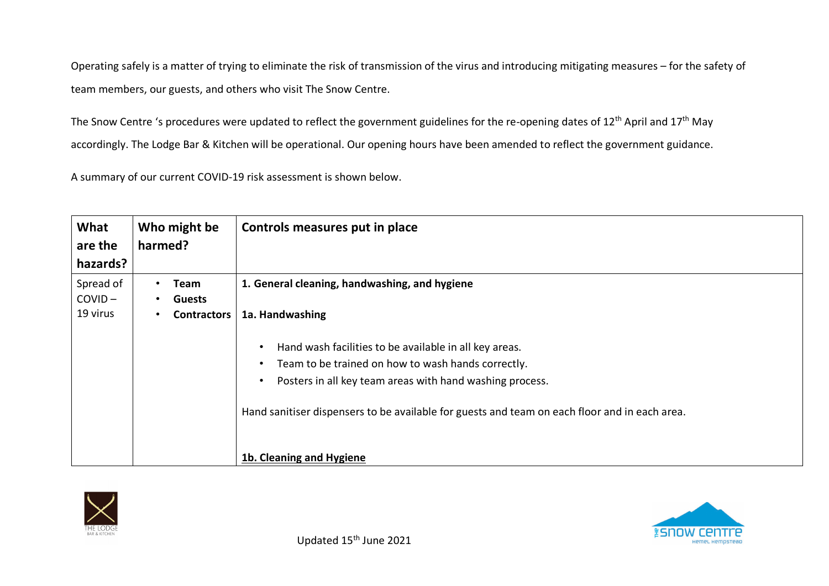Operating safely is a matter of trying to eliminate the risk of transmission of the virus and introducing mitigating measures – for the safety of team members, our guests, and others who visit The Snow Centre.

The Snow Centre 's procedures were updated to reflect the government guidelines for the re-opening dates of 12<sup>th</sup> April and 17<sup>th</sup> May accordingly. The Lodge Bar & Kitchen will be operational. Our opening hours have been amended to reflect the government guidance.

A summary of our current COVID-19 risk assessment is shown below.

| What<br>are the<br>hazards?        | Who might be<br>harmed?                     | Controls measures put in place                                                                                                                                                                                                                                                                                                                                                                                   |
|------------------------------------|---------------------------------------------|------------------------------------------------------------------------------------------------------------------------------------------------------------------------------------------------------------------------------------------------------------------------------------------------------------------------------------------------------------------------------------------------------------------|
| Spread of<br>$COVID -$<br>19 virus | Team<br><b>Guests</b><br><b>Contractors</b> | 1. General cleaning, handwashing, and hygiene<br>1a. Handwashing<br>Hand wash facilities to be available in all key areas.<br>$\bullet$<br>Team to be trained on how to wash hands correctly.<br>$\bullet$<br>Posters in all key team areas with hand washing process.<br>$\bullet$<br>Hand sanitiser dispensers to be available for guests and team on each floor and in each area.<br>1b. Cleaning and Hygiene |



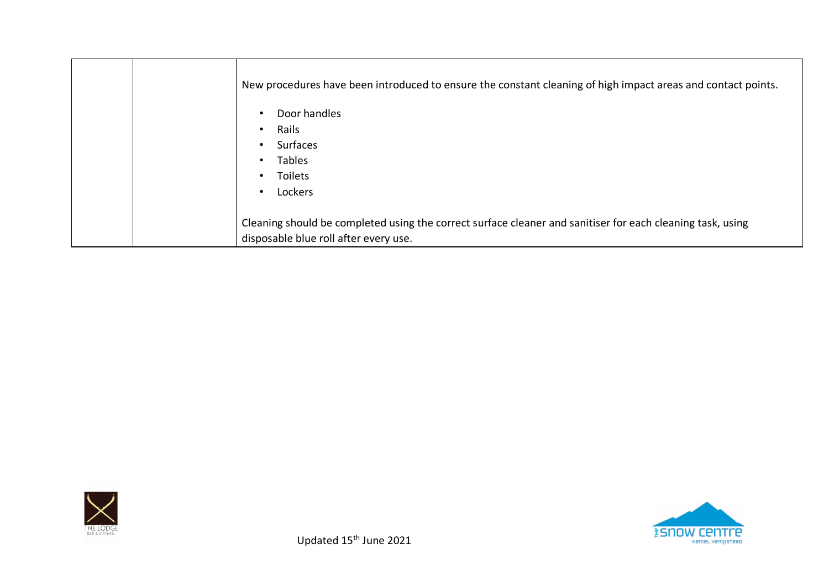| New procedures have been introduced to ensure the constant cleaning of high impact areas and contact points.<br>Door handles<br>$\bullet$<br>Rails<br>$\bullet$ |
|-----------------------------------------------------------------------------------------------------------------------------------------------------------------|
| Surfaces<br>$\bullet$                                                                                                                                           |
| <b>Tables</b><br>$\bullet$                                                                                                                                      |
| Toilets<br>$\bullet$                                                                                                                                            |
| Lockers<br>$\bullet$                                                                                                                                            |
| Cleaning should be completed using the correct surface cleaner and sanitiser for each cleaning task, using<br>disposable blue roll after every use.             |



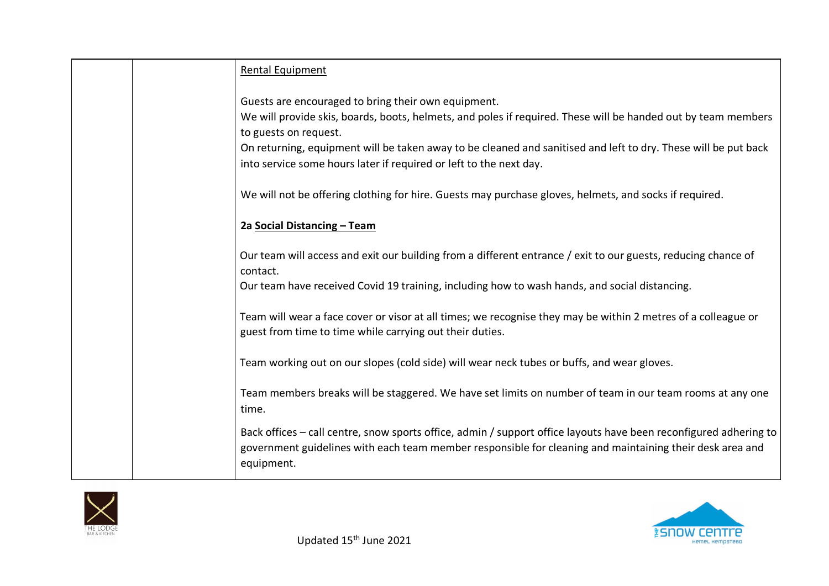|  | Rental Equipment                                                                                                                                                                                                              |
|--|-------------------------------------------------------------------------------------------------------------------------------------------------------------------------------------------------------------------------------|
|  | Guests are encouraged to bring their own equipment.                                                                                                                                                                           |
|  | We will provide skis, boards, boots, helmets, and poles if required. These will be handed out by team members                                                                                                                 |
|  | to guests on request.                                                                                                                                                                                                         |
|  | On returning, equipment will be taken away to be cleaned and sanitised and left to dry. These will be put back                                                                                                                |
|  | into service some hours later if required or left to the next day.                                                                                                                                                            |
|  | We will not be offering clothing for hire. Guests may purchase gloves, helmets, and socks if required.                                                                                                                        |
|  | 2a Social Distancing - Team                                                                                                                                                                                                   |
|  | Our team will access and exit our building from a different entrance / exit to our guests, reducing chance of                                                                                                                 |
|  | contact.                                                                                                                                                                                                                      |
|  | Our team have received Covid 19 training, including how to wash hands, and social distancing.                                                                                                                                 |
|  | Team will wear a face cover or visor at all times; we recognise they may be within 2 metres of a colleague or                                                                                                                 |
|  | guest from time to time while carrying out their duties.                                                                                                                                                                      |
|  | Team working out on our slopes (cold side) will wear neck tubes or buffs, and wear gloves.                                                                                                                                    |
|  |                                                                                                                                                                                                                               |
|  | Team members breaks will be staggered. We have set limits on number of team in our team rooms at any one                                                                                                                      |
|  | time.                                                                                                                                                                                                                         |
|  | Back offices - call centre, snow sports office, admin / support office layouts have been reconfigured adhering to<br>government guidelines with each team member responsible for cleaning and maintaining their desk area and |
|  | equipment.                                                                                                                                                                                                                    |



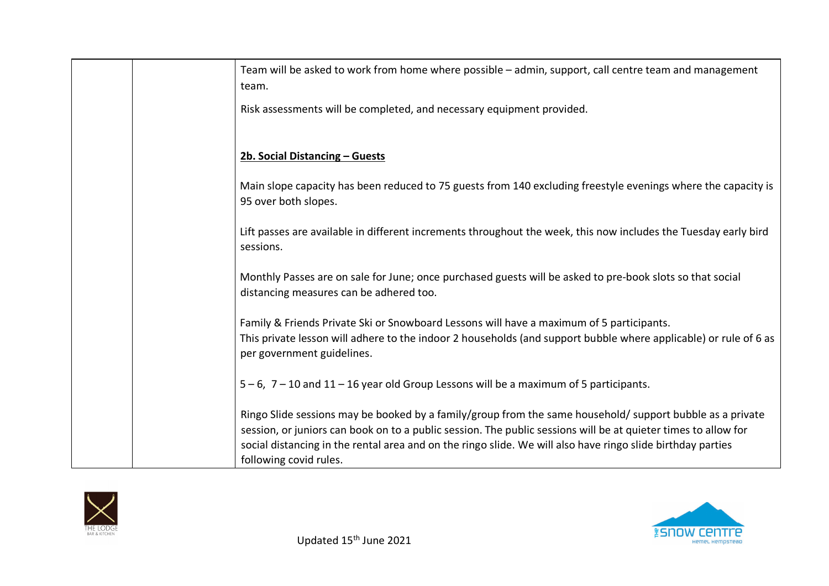| Team will be asked to work from home where possible - admin, support, call centre team and management<br>team.                                                                                                                                                                                                                                                       |
|----------------------------------------------------------------------------------------------------------------------------------------------------------------------------------------------------------------------------------------------------------------------------------------------------------------------------------------------------------------------|
| Risk assessments will be completed, and necessary equipment provided.                                                                                                                                                                                                                                                                                                |
| 2b. Social Distancing - Guests                                                                                                                                                                                                                                                                                                                                       |
| Main slope capacity has been reduced to 75 guests from 140 excluding freestyle evenings where the capacity is<br>95 over both slopes.                                                                                                                                                                                                                                |
| Lift passes are available in different increments throughout the week, this now includes the Tuesday early bird<br>sessions.                                                                                                                                                                                                                                         |
| Monthly Passes are on sale for June; once purchased guests will be asked to pre-book slots so that social<br>distancing measures can be adhered too.                                                                                                                                                                                                                 |
| Family & Friends Private Ski or Snowboard Lessons will have a maximum of 5 participants.<br>This private lesson will adhere to the indoor 2 households (and support bubble where applicable) or rule of 6 as<br>per government guidelines.                                                                                                                           |
| 5 – 6, 7 – 10 and 11 – 16 year old Group Lessons will be a maximum of 5 participants.                                                                                                                                                                                                                                                                                |
| Ringo Slide sessions may be booked by a family/group from the same household/ support bubble as a private<br>session, or juniors can book on to a public session. The public sessions will be at quieter times to allow for<br>social distancing in the rental area and on the ringo slide. We will also have ringo slide birthday parties<br>following covid rules. |



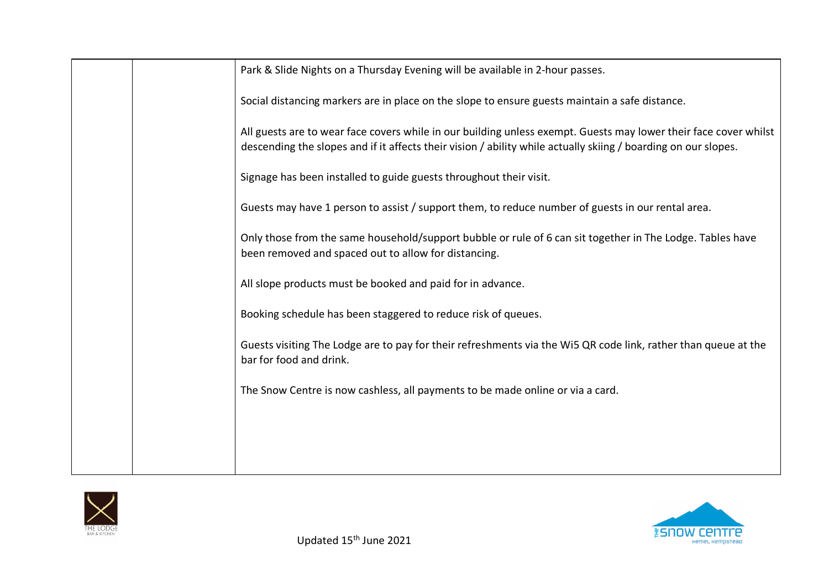| Park & Slide Nights on a Thursday Evening will be available in 2-hour passes.                                                                                                                                                      |
|------------------------------------------------------------------------------------------------------------------------------------------------------------------------------------------------------------------------------------|
| Social distancing markers are in place on the slope to ensure guests maintain a safe distance.                                                                                                                                     |
| All guests are to wear face covers while in our building unless exempt. Guests may lower their face cover whilst<br>descending the slopes and if it affects their vision / ability while actually skiing / boarding on our slopes. |
| Signage has been installed to guide guests throughout their visit.                                                                                                                                                                 |
| Guests may have 1 person to assist / support them, to reduce number of guests in our rental area.                                                                                                                                  |
| Only those from the same household/support bubble or rule of 6 can sit together in The Lodge. Tables have<br>been removed and spaced out to allow for distancing.                                                                  |
| All slope products must be booked and paid for in advance.                                                                                                                                                                         |
| Booking schedule has been staggered to reduce risk of queues.                                                                                                                                                                      |
| Guests visiting The Lodge are to pay for their refreshments via the Wi5 QR code link, rather than queue at the<br>bar for food and drink.                                                                                          |
| The Snow Centre is now cashless, all payments to be made online or via a card.                                                                                                                                                     |
|                                                                                                                                                                                                                                    |
|                                                                                                                                                                                                                                    |



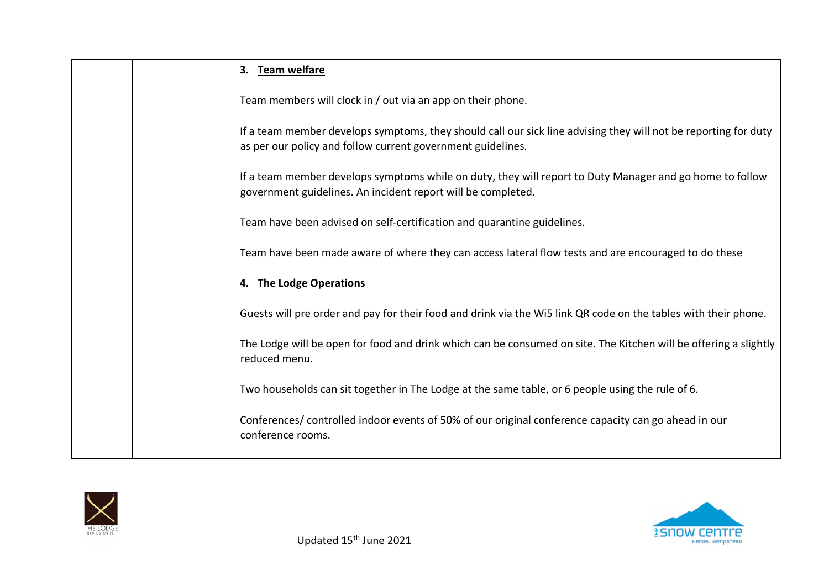|  | 3. Team welfare                                                                                                                                                                |
|--|--------------------------------------------------------------------------------------------------------------------------------------------------------------------------------|
|  | Team members will clock in / out via an app on their phone.                                                                                                                    |
|  | If a team member develops symptoms, they should call our sick line advising they will not be reporting for duty<br>as per our policy and follow current government guidelines. |
|  | If a team member develops symptoms while on duty, they will report to Duty Manager and go home to follow<br>government guidelines. An incident report will be completed.       |
|  | Team have been advised on self-certification and quarantine guidelines.                                                                                                        |
|  | Team have been made aware of where they can access lateral flow tests and are encouraged to do these                                                                           |
|  | 4. The Lodge Operations                                                                                                                                                        |
|  | Guests will pre order and pay for their food and drink via the Wi5 link QR code on the tables with their phone.                                                                |
|  | The Lodge will be open for food and drink which can be consumed on site. The Kitchen will be offering a slightly<br>reduced menu.                                              |
|  | Two households can sit together in The Lodge at the same table, or 6 people using the rule of 6.                                                                               |
|  | Conferences/ controlled indoor events of 50% of our original conference capacity can go ahead in our<br>conference rooms.                                                      |



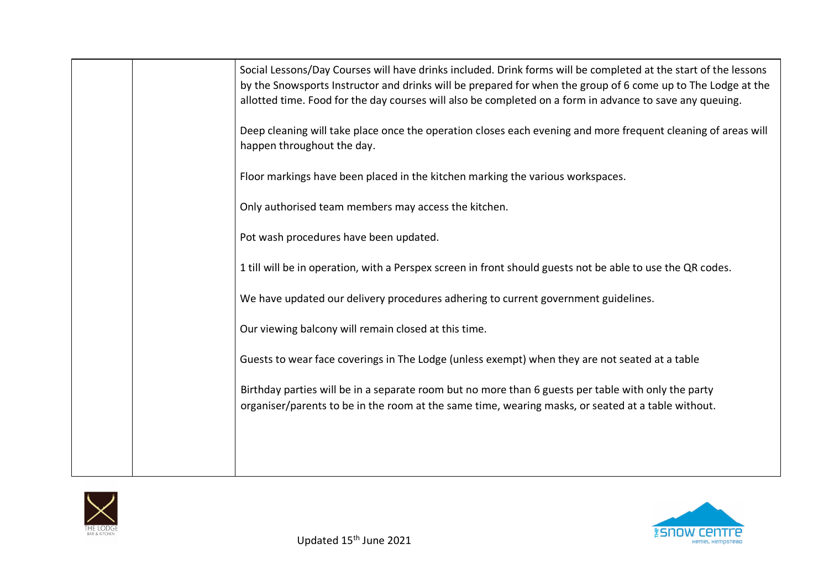|  | Social Lessons/Day Courses will have drinks included. Drink forms will be completed at the start of the lessons<br>by the Snowsports Instructor and drinks will be prepared for when the group of 6 come up to The Lodge at the<br>allotted time. Food for the day courses will also be completed on a form in advance to save any queuing.<br>Deep cleaning will take place once the operation closes each evening and more frequent cleaning of areas will<br>happen throughout the day.<br>Floor markings have been placed in the kitchen marking the various workspaces.<br>Only authorised team members may access the kitchen.<br>Pot wash procedures have been updated.<br>1 till will be in operation, with a Perspex screen in front should guests not be able to use the QR codes.<br>We have updated our delivery procedures adhering to current government guidelines.<br>Our viewing balcony will remain closed at this time.<br>Guests to wear face coverings in The Lodge (unless exempt) when they are not seated at a table<br>Birthday parties will be in a separate room but no more than 6 guests per table with only the party |
|--|-----------------------------------------------------------------------------------------------------------------------------------------------------------------------------------------------------------------------------------------------------------------------------------------------------------------------------------------------------------------------------------------------------------------------------------------------------------------------------------------------------------------------------------------------------------------------------------------------------------------------------------------------------------------------------------------------------------------------------------------------------------------------------------------------------------------------------------------------------------------------------------------------------------------------------------------------------------------------------------------------------------------------------------------------------------------------------------------------------------------------------------------------------|
|  | organiser/parents to be in the room at the same time, wearing masks, or seated at a table without.                                                                                                                                                                                                                                                                                                                                                                                                                                                                                                                                                                                                                                                                                                                                                                                                                                                                                                                                                                                                                                                  |
|  |                                                                                                                                                                                                                                                                                                                                                                                                                                                                                                                                                                                                                                                                                                                                                                                                                                                                                                                                                                                                                                                                                                                                                     |

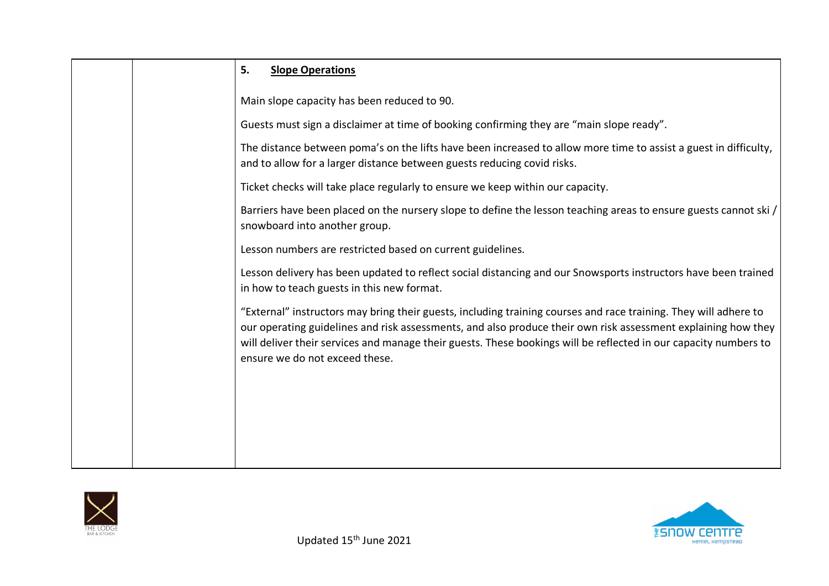|  | 5.<br><b>Slope Operations</b>                                                                                                                                                                                                                                                                                                                                                           |
|--|-----------------------------------------------------------------------------------------------------------------------------------------------------------------------------------------------------------------------------------------------------------------------------------------------------------------------------------------------------------------------------------------|
|  | Main slope capacity has been reduced to 90.                                                                                                                                                                                                                                                                                                                                             |
|  | Guests must sign a disclaimer at time of booking confirming they are "main slope ready".                                                                                                                                                                                                                                                                                                |
|  | The distance between poma's on the lifts have been increased to allow more time to assist a guest in difficulty,<br>and to allow for a larger distance between guests reducing covid risks.                                                                                                                                                                                             |
|  | Ticket checks will take place regularly to ensure we keep within our capacity.                                                                                                                                                                                                                                                                                                          |
|  | Barriers have been placed on the nursery slope to define the lesson teaching areas to ensure guests cannot ski/<br>snowboard into another group.                                                                                                                                                                                                                                        |
|  | Lesson numbers are restricted based on current guidelines.                                                                                                                                                                                                                                                                                                                              |
|  | Lesson delivery has been updated to reflect social distancing and our Snowsports instructors have been trained<br>in how to teach guests in this new format.                                                                                                                                                                                                                            |
|  | "External" instructors may bring their guests, including training courses and race training. They will adhere to<br>our operating guidelines and risk assessments, and also produce their own risk assessment explaining how they<br>will deliver their services and manage their guests. These bookings will be reflected in our capacity numbers to<br>ensure we do not exceed these. |
|  |                                                                                                                                                                                                                                                                                                                                                                                         |
|  |                                                                                                                                                                                                                                                                                                                                                                                         |
|  |                                                                                                                                                                                                                                                                                                                                                                                         |
|  |                                                                                                                                                                                                                                                                                                                                                                                         |

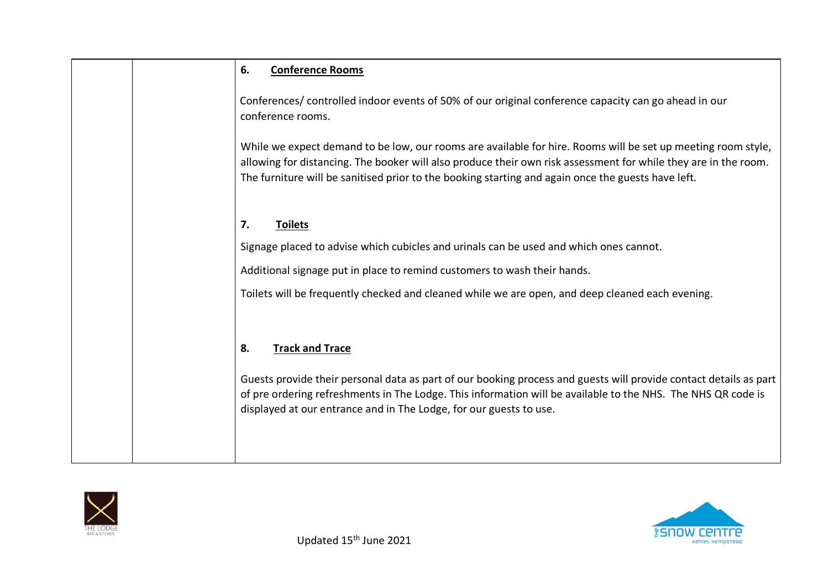| 6.<br><b>Conference Rooms</b>                                                                                                                                                                                                                                                                                                         |
|---------------------------------------------------------------------------------------------------------------------------------------------------------------------------------------------------------------------------------------------------------------------------------------------------------------------------------------|
| Conferences/ controlled indoor events of 50% of our original conference capacity can go ahead in our<br>conference rooms.                                                                                                                                                                                                             |
| While we expect demand to be low, our rooms are available for hire. Rooms will be set up meeting room style,<br>allowing for distancing. The booker will also produce their own risk assessment for while they are in the room.<br>The furniture will be sanitised prior to the booking starting and again once the guests have left. |
| 7.<br><b>Toilets</b>                                                                                                                                                                                                                                                                                                                  |
| Signage placed to advise which cubicles and urinals can be used and which ones cannot.                                                                                                                                                                                                                                                |
| Additional signage put in place to remind customers to wash their hands.                                                                                                                                                                                                                                                              |
| Toilets will be frequently checked and cleaned while we are open, and deep cleaned each evening.                                                                                                                                                                                                                                      |
|                                                                                                                                                                                                                                                                                                                                       |
| <b>Track and Trace</b><br>8.                                                                                                                                                                                                                                                                                                          |
| Guests provide their personal data as part of our booking process and guests will provide contact details as part<br>of pre ordering refreshments in The Lodge. This information will be available to the NHS. The NHS QR code is<br>displayed at our entrance and in The Lodge, for our guests to use.                               |
|                                                                                                                                                                                                                                                                                                                                       |